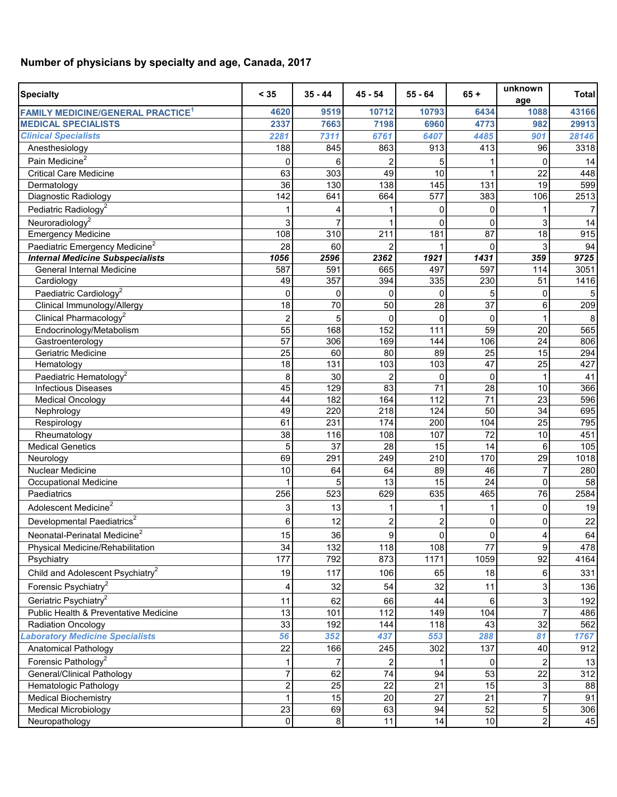## **Number of physicians by specialty and age, Canada, 2017**

| <b>Specialty</b>                                    | < 35           | $35 - 44$ | $45 - 54$       | $55 - 64$       | $65 +$          | unknown<br>age | <b>Total</b> |
|-----------------------------------------------------|----------------|-----------|-----------------|-----------------|-----------------|----------------|--------------|
| <b>FAMILY MEDICINE/GENERAL PRACTICE<sup>1</sup></b> | 4620           | 9519      | 10712           | 10793           | 6434            | 1088           | 43166        |
| <b>MEDICAL SPECIALISTS</b>                          | 2337           | 7663      | 7198            | 6960            | 4773            | 982            | 29913        |
| <b>Clinical Specialists</b>                         | 2281           | 7311      | 6761            | 6407            | 4485            | 901            | 28146        |
| Anesthesiology                                      | 188            | 845       | 863             | 913             | 413             | 96             | 3318         |
| Pain Medicine <sup>2</sup>                          | 0              | 6         | 2               | 5               |                 | 0              | 14           |
| <b>Critical Care Medicine</b>                       | 63             | 303       | 49              | 10              |                 | 22             | 448          |
| Dermatology                                         | 36             | 130       | 138             | 145             | 131             | 19             | 599          |
| Diagnostic Radiology                                | 142            | 641       | 664             | 577             | 383             | 106            | 2513         |
| Pediatric Radiology <sup>2</sup>                    |                |           |                 | 0               | 0               |                | 7            |
| Neuroradiology <sup>2</sup>                         | 3              |           |                 | 0               | 0               | 3              | 14           |
| <b>Emergency Medicine</b>                           | 108            | 310       | 211             | 181             | 87              | 18             | 915          |
| Paediatric Emergency Medicine <sup>2</sup>          | 28             | 60        |                 |                 | $\Omega$        | 3              | 94           |
| <b>Internal Medicine Subspecialists</b>             | 1056           | 2596      | 2362            | 1921            | 1431            | 359            | 9725         |
| General Internal Medicine                           | 587            | 591       | 665             | 497             | 597             | 114            | 3051         |
| Cardiology                                          | 49             | 357       | 394             | 335             | 230             | 51             | 1416         |
| Paediatric Cardiology <sup>2</sup>                  | 0              | 0         | 0               | 0               | 5               | 0              | 5            |
| Clinical Immunology/Allergy                         | 18             | 70        | 50              | 28              | $\overline{37}$ | 6              | 209          |
| Clinical Pharmacology <sup>2</sup>                  | $\overline{2}$ | 5         | 0               | $\Omega$        | 0               |                | 8            |
| Endocrinology/Metabolism                            | 55             | 168       | 152             | 111             | 59              | 20             | 565          |
| Gastroenterology                                    | 57             | 306       | 169             | 144             | 106             | 24             | 806          |
| Geriatric Medicine                                  | 25             | 60        | 80              | 89              | 25              | 15             | 294          |
| Hematology                                          | 18             | 131       | 103             | 103             | 47              | 25             | 427          |
| Paediatric Hematology <sup>2</sup>                  | 8              | 30        | $\overline{c}$  | 0               | 0               |                | 41           |
| <b>Infectious Diseases</b>                          | 45             | 129       | 83              | 71              | 28              | 10             | 366          |
| <b>Medical Oncology</b>                             | 44             | 182       | 164             | 112             | 71              | 23             | 596          |
| Nephrology                                          | 49             | 220       | 218             | 124             | 50              | 34             | 695          |
| Respirology                                         | 61             | 231       | 174             | 200             | 104             | 25             | 795          |
| Rheumatology                                        | 38             | 116       | 108             | 107             | 72              | 10             | 451          |
| <b>Medical Genetics</b>                             | 5              | 37        | 28              | 15              | 14              | 6              | 105          |
| Neurology                                           | 69             | 291       | 249             | 210             | 170             | 29             | 1018         |
| <b>Nuclear Medicine</b>                             | 10             | 64        | 64              | 89              | 46              | $\overline{7}$ | 280          |
| <b>Occupational Medicine</b>                        |                | 5         | 13              | 15              | 24              | $\mathbf 0$    | 58           |
| Paediatrics                                         | 256            | 523       | 629             | 635             | 465             | 76             | 2584         |
| Adolescent Medicine <sup>2</sup>                    | 3              | 13        | 1               |                 |                 | 0              | 19           |
| Developmental Paediatrics <sup>2</sup>              | 6              | 12        | 2               | $\overline{2}$  | 0               | 0              | 22           |
| Neonatal-Perinatal Medicine <sup>2</sup>            | 15             | 36        | 9               | 0               | 0               | 4              | 64           |
| Physical Medicine/Rehabilitation                    | 34             | 132       | 118             | 108             | $\overline{77}$ | 9              | 478          |
| Psychiatry                                          | 177            | 792       | 873             | 1171            | 1059            | 92             | 4164         |
| Child and Adolescent Psychiatry <sup>2</sup>        | 19             | 117       | 106             | 65              | 18              | 6              | 331          |
| Forensic Psychiatry <sup>2</sup>                    | 4              | 32        | 54              | 32              | 11              | 3              | 136          |
| Geriatric Psychiatry <sup>2</sup>                   | 11             | 62        | 66              | 44              | 6               | 3              | 192          |
| Public Health & Preventative Medicine               | 13             | 101       | 112             | 149             | 104             | $\overline{7}$ | 486          |
| <b>Radiation Oncology</b>                           | 33             | 192       | 144             | 118             | 43              | 32             | 562          |
| <b>aboratory Medicine Specialists</b>               | 56             | 352       | 437             | 553             | 288             | 81             | 1767         |
| Anatomical Pathology                                | 22             | 166       | 245             | 302             | 137             | 40             | 912          |
| Forensic Pathology <sup>2</sup>                     |                | 7         | 2               |                 | 0               |                | 13           |
| <b>General/Clinical Pathology</b>                   | $\overline{7}$ | 62        | 74              | 94              | 53              | 22             | 312          |
| Hematologic Pathology                               | $\overline{2}$ | 25        | 22              | 21              | 15              | 3              | 88           |
| <b>Medical Biochemistry</b>                         | $\overline{1}$ | 15        | $\overline{20}$ | $\overline{27}$ | 21              | $\overline{7}$ | 91           |
| <b>Medical Microbiology</b>                         | 23             | 69        | 63              | 94              | 52              | 5              | 306          |
| Neuropathology                                      | 0              | 8         | 11              | 14              | 10              | $\overline{c}$ | 45           |